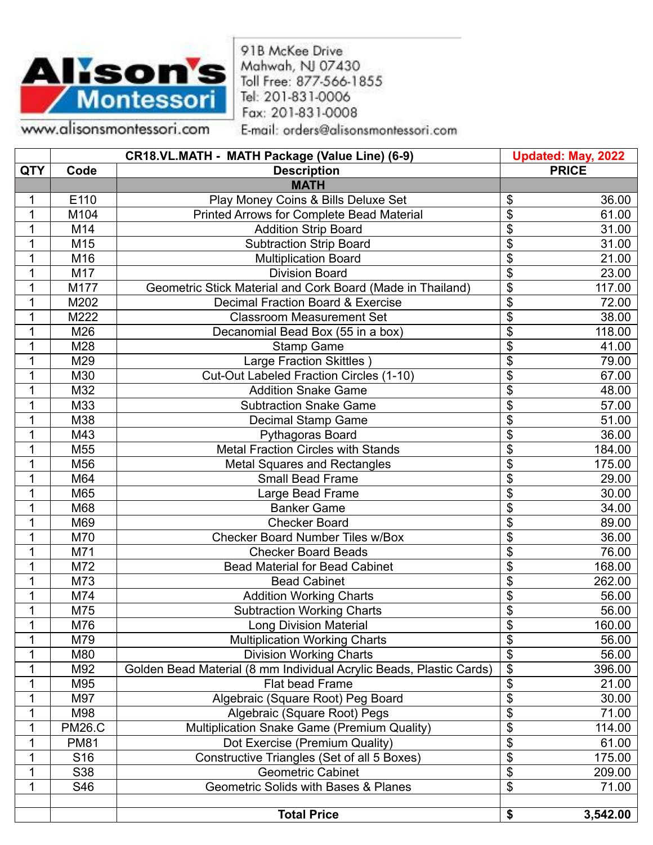

91B McKee Drive Mahwah, NJ 07430 Toll Free: 877-566-1855 Tel: 201-831-0006 Fax: 201-831-0008

www.alisonsmontessori.com

E-mail: orders@alisonsmontessori.com

|            |                 | CR18.VL.MATH - MATH Package (Value Line) (6-9)                      | <b>Updated: May, 2022</b> |
|------------|-----------------|---------------------------------------------------------------------|---------------------------|
| <b>QTY</b> | Code            | <b>Description</b>                                                  | <b>PRICE</b>              |
|            |                 | <b>MATH</b>                                                         |                           |
| 1          | E110            | Play Money Coins & Bills Deluxe Set                                 | 36.00<br>\$               |
| 1          | M104            | <b>Printed Arrows for Complete Bead Material</b>                    | \$<br>61.00               |
| 1          | M14             | <b>Addition Strip Board</b>                                         | \$<br>31.00               |
| 1          | M15             | <b>Subtraction Strip Board</b>                                      | \$<br>31.00               |
| 1          | M16             | <b>Multiplication Board</b>                                         | \$<br>21.00               |
| 1          | M17             | <b>Division Board</b>                                               | \$<br>23.00               |
| 1          | M177            | Geometric Stick Material and Cork Board (Made in Thailand)          | \$<br>117.00              |
| 1          | M202            | Decimal Fraction Board & Exercise                                   | \$<br>72.00               |
| 1          | M222            | <b>Classroom Measurement Set</b>                                    | \$<br>38.00               |
| 1          | M26             | Decanomial Bead Box (55 in a box)                                   | \$<br>118.00              |
| 1          | M28             | <b>Stamp Game</b>                                                   | \$<br>41.00               |
| 1          | M29             | Large Fraction Skittles)                                            | \$<br>79.00               |
| 1          | M30             | Cut-Out Labeled Fraction Circles (1-10)                             | \$<br>67.00               |
| 1          | M32             | <b>Addition Snake Game</b>                                          | 48.00<br>\$               |
| 1          | M33             | <b>Subtraction Snake Game</b>                                       | \$<br>57.00               |
| 1          | M38             | Decimal Stamp Game                                                  | \$<br>51.00               |
| 1          | M43             | Pythagoras Board                                                    | \$<br>36.00               |
| 1          | M55             | <b>Metal Fraction Circles with Stands</b>                           | \$<br>184.00              |
| 1          | M56             | <b>Metal Squares and Rectangles</b>                                 | \$<br>175.00              |
| 1          | M64             | <b>Small Bead Frame</b>                                             | \$<br>29.00               |
| 1          | M65             | Large Bead Frame                                                    | \$<br>30.00               |
| 1          | M68             | <b>Banker Game</b>                                                  | \$<br>34.00               |
| 1          | M69             | <b>Checker Board</b>                                                | \$<br>89.00               |
| 1          | M70             | <b>Checker Board Number Tiles w/Box</b>                             | \$<br>36.00               |
| 1          | M71             | <b>Checker Board Beads</b>                                          | \$<br>76.00               |
| 1          | M72             | <b>Bead Material for Bead Cabinet</b>                               | \$<br>168.00              |
| 1          | M73             | <b>Bead Cabinet</b>                                                 | \$<br>262.00              |
| 1          | M74             | <b>Addition Working Charts</b>                                      | \$<br>56.00               |
| 1          | M75             | <b>Subtraction Working Charts</b>                                   | \$<br>56.00               |
| 1          | M76             | <b>Long Division Material</b>                                       | \$<br>160.00              |
| 1          | M79             | <b>Multiplication Working Charts</b>                                | \$<br>56.00               |
| 1          | M80             | <b>Division Working Charts</b>                                      | \$<br>56.00               |
| 1          | M92             | Golden Bead Material (8 mm Individual Acrylic Beads, Plastic Cards) | $\overline{\$}$<br>396.00 |
| 1          | M95             | Flat bead Frame                                                     | \$<br>21.00               |
| 1          | M97             | Algebraic (Square Root) Peg Board                                   | \$<br>30.00               |
| 1          | M98             | Algebraic (Square Root) Pegs                                        | \$<br>71.00               |
| 1          | <b>PM26.C</b>   | Multiplication Snake Game (Premium Quality)                         | \$<br>114.00              |
| 1          | <b>PM81</b>     | Dot Exercise (Premium Quality)                                      | \$<br>61.00               |
| 1          | S <sub>16</sub> | Constructive Triangles (Set of all 5 Boxes)                         | \$<br>175.00              |
| 1          | S38             | <b>Geometric Cabinet</b>                                            | \$<br>209.00              |
| 1          | S46             | Geometric Solids with Bases & Planes                                | \$<br>71.00               |
|            |                 |                                                                     |                           |
|            |                 | <b>Total Price</b>                                                  | 3,542.00<br>\$            |